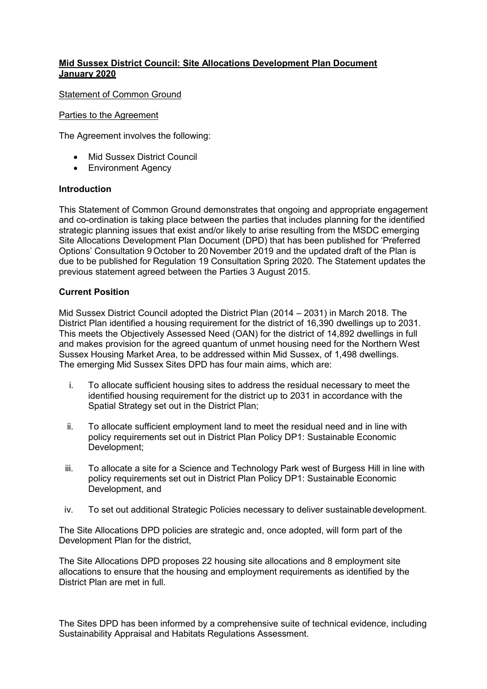### **Mid Sussex District Council: Site Allocations Development Plan Document January 2020**

Statement of Common Ground

#### Parties to the Agreement

The Agreement involves the following:

- Mid Sussex District Council
- Environment Agency

#### **Introduction**

This Statement of Common Ground demonstrates that ongoing and appropriate engagement and co-ordination is taking place between the parties that includes planning for the identified strategic planning issues that exist and/or likely to arise resulting from the MSDC emerging Site Allocations Development Plan Document (DPD) that has been published for 'Preferred Options' Consultation 9 October to 20 November 2019 and the updated draft of the Plan is due to be published for Regulation 19 Consultation Spring 2020. The Statement updates the previous statement agreed between the Parties 3 August 2015.

### **Current Position**

Mid Sussex District Council adopted the District Plan (2014 – 2031) in March 2018. The District Plan identified a housing requirement for the district of 16,390 dwellings up to 2031. This meets the Objectively Assessed Need (OAN) for the district of 14,892 dwellings in full and makes provision for the agreed quantum of unmet housing need for the Northern West Sussex Housing Market Area, to be addressed within Mid Sussex, of 1,498 dwellings. The emerging Mid Sussex Sites DPD has four main aims, which are:

- i. To allocate sufficient housing sites to address the residual necessary to meet the identified housing requirement for the district up to 2031 in accordance with the Spatial Strategy set out in the District Plan;
- ii. To allocate sufficient employment land to meet the residual need and in line with policy requirements set out in District Plan Policy DP1: Sustainable Economic Development;
- iii. To allocate a site for a Science and Technology Park west of Burgess Hill in line with policy requirements set out in District Plan Policy DP1: Sustainable Economic Development, and
- iv. To set out additional Strategic Policies necessary to deliver sustainable development.

The Site Allocations DPD policies are strategic and, once adopted, will form part of the Development Plan for the district,

The Site Allocations DPD proposes 22 housing site allocations and 8 employment site allocations to ensure that the housing and employment requirements as identified by the District Plan are met in full.

The Sites DPD has been informed by a comprehensive suite of technical evidence, including Sustainability Appraisal and Habitats Regulations Assessment.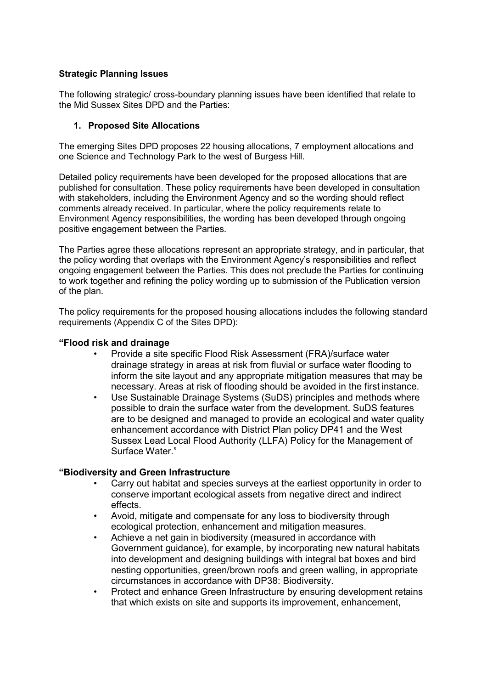### **Strategic Planning Issues**

The following strategic/ cross-boundary planning issues have been identified that relate to the Mid Sussex Sites DPD and the Parties:

### **1. Proposed Site Allocations**

The emerging Sites DPD proposes 22 housing allocations, 7 employment allocations and one Science and Technology Park to the west of Burgess Hill.

Detailed policy requirements have been developed for the proposed allocations that are published for consultation. These policy requirements have been developed in consultation with stakeholders, including the Environment Agency and so the wording should reflect comments already received. In particular, where the policy requirements relate to Environment Agency responsibilities, the wording has been developed through ongoing positive engagement between the Parties.

The Parties agree these allocations represent an appropriate strategy, and in particular, that the policy wording that overlaps with the Environment Agency's responsibilities and reflect ongoing engagement between the Parties. This does not preclude the Parties for continuing to work together and refining the policy wording up to submission of the Publication version of the plan.

The policy requirements for the proposed housing allocations includes the following standard requirements (Appendix C of the Sites DPD):

#### **"Flood risk and drainage**

- Provide a site specific Flood Risk Assessment (FRA)/surface water drainage strategy in areas at risk from fluvial or surface water flooding to inform the site layout and any appropriate mitigation measures that may be necessary. Areas at risk of flooding should be avoided in the first instance.
- Use Sustainable Drainage Systems (SuDS) principles and methods where possible to drain the surface water from the development. SuDS features are to be designed and managed to provide an ecological and water quality enhancement accordance with District Plan policy DP41 and the West Sussex Lead Local Flood Authority (LLFA) Policy for the Management of Surface Water."

### **"Biodiversity and Green Infrastructure**

- Carry out habitat and species surveys at the earliest opportunity in order to conserve important ecological assets from negative direct and indirect effects.
- Avoid, mitigate and compensate for any loss to biodiversity through ecological protection, enhancement and mitigation measures.
- Achieve a net gain in biodiversity (measured in accordance with Government guidance), for example, by incorporating new natural habitats into development and designing buildings with integral bat boxes and bird nesting opportunities, green/brown roofs and green walling, in appropriate circumstances in accordance with DP38: Biodiversity.
- Protect and enhance Green Infrastructure by ensuring development retains that which exists on site and supports its improvement, enhancement,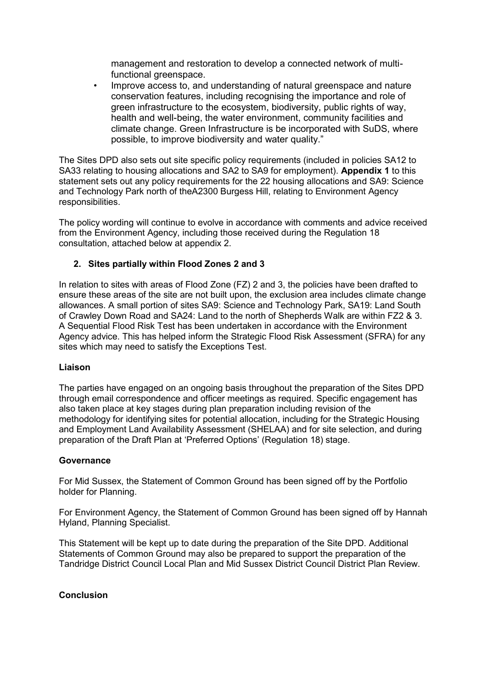management and restoration to develop a connected network of multifunctional greenspace.

• Improve access to, and understanding of natural greenspace and nature conservation features, including recognising the importance and role of green infrastructure to the ecosystem, biodiversity, public rights of way, health and well-being, the water environment, community facilities and climate change. Green Infrastructure is be incorporated with SuDS, where possible, to improve biodiversity and water quality."

The Sites DPD also sets out site specific policy requirements (included in policies SA12 to SA33 relating to housing allocations and SA2 to SA9 for employment). **Appendix 1** to this statement sets out any policy requirements for the 22 housing allocations and SA9: Science and Technology Park north of theA2300 Burgess Hill, relating to Environment Agency responsibilities.

The policy wording will continue to evolve in accordance with comments and advice received from the Environment Agency, including those received during the Regulation 18 consultation, attached below at appendix 2.

### **2. Sites partially within Flood Zones 2 and 3**

In relation to sites with areas of Flood Zone (FZ) 2 and 3, the policies have been drafted to ensure these areas of the site are not built upon, the exclusion area includes climate change allowances. A small portion of sites SA9: Science and Technology Park, SA19: Land South of Crawley Down Road and SA24: Land to the north of Shepherds Walk are within FZ2 & 3. A Sequential Flood Risk Test has been undertaken in accordance with the Environment Agency advice. This has helped inform the Strategic Flood Risk Assessment (SFRA) for any sites which may need to satisfy the Exceptions Test.

### **Liaison**

The parties have engaged on an ongoing basis throughout the preparation of the Sites DPD through email correspondence and officer meetings as required. Specific engagement has also taken place at key stages during plan preparation including revision of the methodology for identifying sites for potential allocation, including for the Strategic Housing and Employment Land Availability Assessment (SHELAA) and for site selection, and during preparation of the Draft Plan at 'Preferred Options' (Regulation 18) stage.

#### **Governance**

For Mid Sussex, the Statement of Common Ground has been signed off by the Portfolio holder for Planning.

For Environment Agency, the Statement of Common Ground has been signed off by Hannah Hyland, Planning Specialist.

This Statement will be kept up to date during the preparation of the Site DPD. Additional Statements of Common Ground may also be prepared to support the preparation of the Tandridge District Council Local Plan and Mid Sussex District Council District Plan Review.

#### **Conclusion**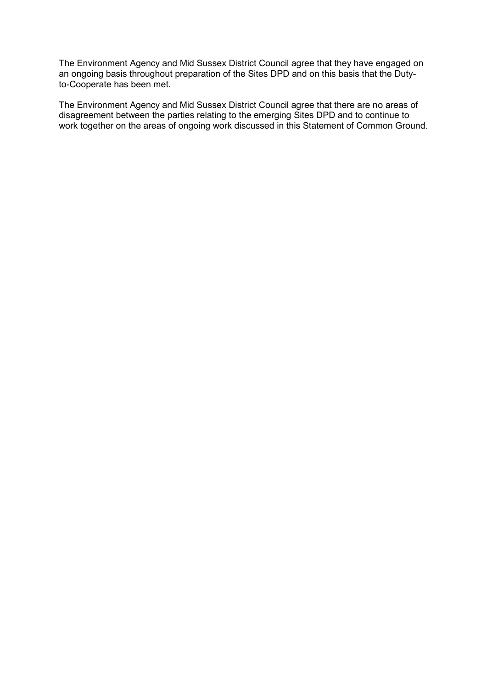The Environment Agency and Mid Sussex District Council agree that they have engaged on an ongoing basis throughout preparation of the Sites DPD and on this basis that the Dutyto-Cooperate has been met.

The Environment Agency and Mid Sussex District Council agree that there are no areas of disagreement between the parties relating to the emerging Sites DPD and to continue to work together on the areas of ongoing work discussed in this Statement of Common Ground.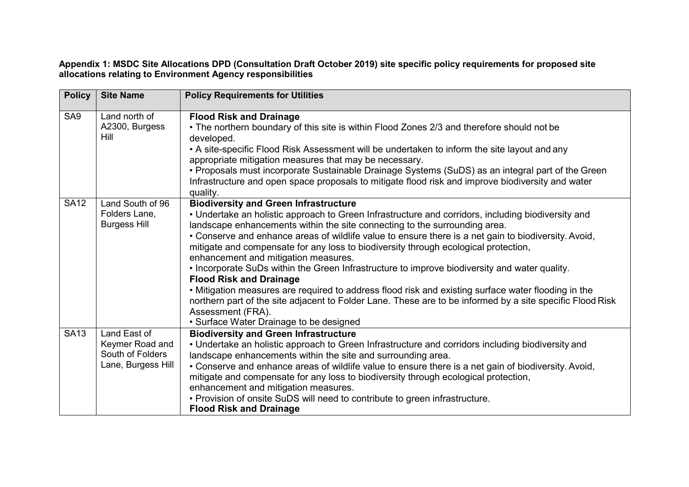### **Appendix 1: MSDC Site Allocations DPD (Consultation Draft October 2019) site specific policy requirements for proposed site allocations relating to Environment Agency responsibilities**

| <b>Policy</b>   | <b>Site Name</b>                                                          | <b>Policy Requirements for Utilities</b>                                                                                                                                                                                                                                                                                                                                                                                                                                                                                                                                                                                                                                                                                                                                                                                                                                                       |
|-----------------|---------------------------------------------------------------------------|------------------------------------------------------------------------------------------------------------------------------------------------------------------------------------------------------------------------------------------------------------------------------------------------------------------------------------------------------------------------------------------------------------------------------------------------------------------------------------------------------------------------------------------------------------------------------------------------------------------------------------------------------------------------------------------------------------------------------------------------------------------------------------------------------------------------------------------------------------------------------------------------|
| SA <sub>9</sub> | Land north of<br>A2300, Burgess<br>Hill                                   | <b>Flood Risk and Drainage</b><br>• The northern boundary of this site is within Flood Zones 2/3 and therefore should not be<br>developed.<br>• A site-specific Flood Risk Assessment will be undertaken to inform the site layout and any<br>appropriate mitigation measures that may be necessary.<br>• Proposals must incorporate Sustainable Drainage Systems (SuDS) as an integral part of the Green<br>Infrastructure and open space proposals to mitigate flood risk and improve biodiversity and water<br>quality.                                                                                                                                                                                                                                                                                                                                                                     |
| <b>SA12</b>     | Land South of 96<br>Folders Lane,<br><b>Burgess Hill</b>                  | <b>Biodiversity and Green Infrastructure</b><br>• Undertake an holistic approach to Green Infrastructure and corridors, including biodiversity and<br>landscape enhancements within the site connecting to the surrounding area.<br>• Conserve and enhance areas of wildlife value to ensure there is a net gain to biodiversity. Avoid,<br>mitigate and compensate for any loss to biodiversity through ecological protection,<br>enhancement and mitigation measures.<br>. Incorporate SuDs within the Green Infrastructure to improve biodiversity and water quality.<br><b>Flood Risk and Drainage</b><br>. Mitigation measures are required to address flood risk and existing surface water flooding in the<br>northern part of the site adjacent to Folder Lane. These are to be informed by a site specific Flood Risk<br>Assessment (FRA).<br>• Surface Water Drainage to be designed |
| <b>SA13</b>     | Land East of<br>Keymer Road and<br>South of Folders<br>Lane, Burgess Hill | <b>Biodiversity and Green Infrastructure</b><br>• Undertake an holistic approach to Green Infrastructure and corridors including biodiversity and<br>landscape enhancements within the site and surrounding area.<br>• Conserve and enhance areas of wildlife value to ensure there is a net gain of biodiversity. Avoid,<br>mitigate and compensate for any loss to biodiversity through ecological protection,<br>enhancement and mitigation measures.<br>• Provision of onsite SuDS will need to contribute to green infrastructure.<br><b>Flood Risk and Drainage</b>                                                                                                                                                                                                                                                                                                                      |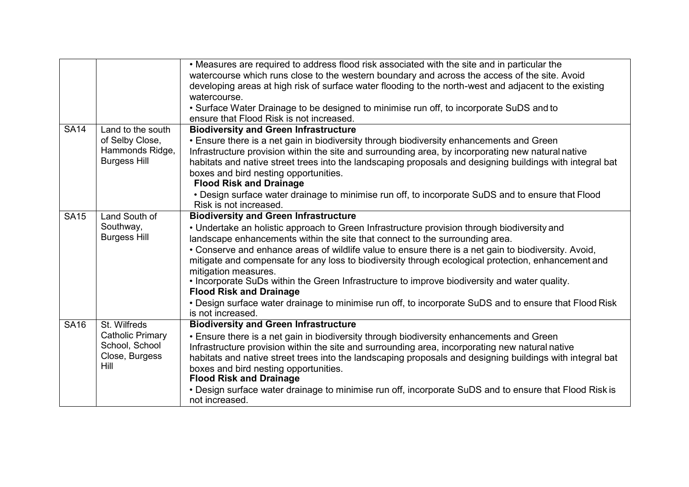|             |                                                                                     | • Measures are required to address flood risk associated with the site and in particular the<br>watercourse which runs close to the western boundary and across the access of the site. Avoid<br>developing areas at high risk of surface water flooding to the north-west and adjacent to the existing<br>watercourse.<br>• Surface Water Drainage to be designed to minimise run off, to incorporate SuDS and to<br>ensure that Flood Risk is not increased.                                                                                                                                                                                                                                                                       |
|-------------|-------------------------------------------------------------------------------------|--------------------------------------------------------------------------------------------------------------------------------------------------------------------------------------------------------------------------------------------------------------------------------------------------------------------------------------------------------------------------------------------------------------------------------------------------------------------------------------------------------------------------------------------------------------------------------------------------------------------------------------------------------------------------------------------------------------------------------------|
| <b>SA14</b> | Land to the south<br>of Selby Close,<br>Hammonds Ridge,<br><b>Burgess Hill</b>      | <b>Biodiversity and Green Infrastructure</b><br>• Ensure there is a net gain in biodiversity through biodiversity enhancements and Green<br>Infrastructure provision within the site and surrounding area, by incorporating new natural native<br>habitats and native street trees into the landscaping proposals and designing buildings with integral bat<br>boxes and bird nesting opportunities.<br><b>Flood Risk and Drainage</b><br>• Design surface water drainage to minimise run off, to incorporate SuDS and to ensure that Flood<br>Risk is not increased.                                                                                                                                                                |
| <b>SA15</b> | Land South of<br>Southway,<br><b>Burgess Hill</b>                                   | <b>Biodiversity and Green Infrastructure</b><br>• Undertake an holistic approach to Green Infrastructure provision through biodiversity and<br>landscape enhancements within the site that connect to the surrounding area.<br>• Conserve and enhance areas of wildlife value to ensure there is a net gain to biodiversity. Avoid,<br>mitigate and compensate for any loss to biodiversity through ecological protection, enhancement and<br>mitigation measures.<br>. Incorporate SuDs within the Green Infrastructure to improve biodiversity and water quality.<br><b>Flood Risk and Drainage</b><br>• Design surface water drainage to minimise run off, to incorporate SuDS and to ensure that Flood Risk<br>is not increased. |
| <b>SA16</b> | St. Wilfreds<br><b>Catholic Primary</b><br>School, School<br>Close, Burgess<br>Hill | <b>Biodiversity and Green Infrastructure</b><br>• Ensure there is a net gain in biodiversity through biodiversity enhancements and Green<br>Infrastructure provision within the site and surrounding area, incorporating new natural native<br>habitats and native street trees into the landscaping proposals and designing buildings with integral bat<br>boxes and bird nesting opportunities.<br><b>Flood Risk and Drainage</b><br>• Design surface water drainage to minimise run off, incorporate SuDS and to ensure that Flood Risk is<br>not increased.                                                                                                                                                                      |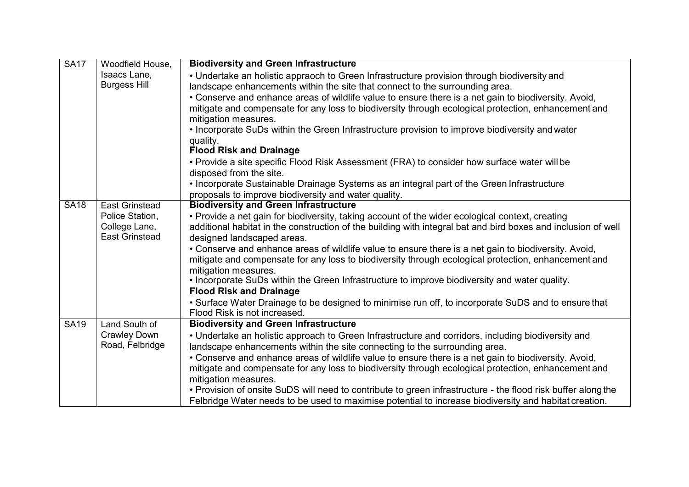| <b>SA17</b> | Woodfield House,                       | <b>Biodiversity and Green Infrastructure</b>                                                                                                                                                                |  |
|-------------|----------------------------------------|-------------------------------------------------------------------------------------------------------------------------------------------------------------------------------------------------------------|--|
|             | Isaacs Lane,                           | • Undertake an holistic appraoch to Green Infrastructure provision through biodiversity and                                                                                                                 |  |
|             | <b>Burgess Hill</b>                    | landscape enhancements within the site that connect to the surrounding area.                                                                                                                                |  |
|             |                                        | • Conserve and enhance areas of wildlife value to ensure there is a net gain to biodiversity. Avoid,                                                                                                        |  |
|             |                                        | mitigate and compensate for any loss to biodiversity through ecological protection, enhancement and<br>mitigation measures.                                                                                 |  |
|             |                                        | • Incorporate SuDs within the Green Infrastructure provision to improve biodiversity and water                                                                                                              |  |
|             |                                        | quality.<br><b>Flood Risk and Drainage</b>                                                                                                                                                                  |  |
|             |                                        | • Provide a site specific Flood Risk Assessment (FRA) to consider how surface water will be<br>disposed from the site.                                                                                      |  |
|             |                                        | . Incorporate Sustainable Drainage Systems as an integral part of the Green Infrastructure<br>proposals to improve biodiversity and water quality.                                                          |  |
| <b>SA18</b> | <b>East Grinstead</b>                  | <b>Biodiversity and Green Infrastructure</b>                                                                                                                                                                |  |
|             | Police Station,                        | • Provide a net gain for biodiversity, taking account of the wider ecological context, creating                                                                                                             |  |
|             | College Lane,<br><b>East Grinstead</b> | additional habitat in the construction of the building with integral bat and bird boxes and inclusion of well<br>designed landscaped areas.                                                                 |  |
|             |                                        | • Conserve and enhance areas of wildlife value to ensure there is a net gain to biodiversity. Avoid,<br>mitigate and compensate for any loss to biodiversity through ecological protection, enhancement and |  |
|             |                                        | mitigation measures.                                                                                                                                                                                        |  |
|             |                                        | . Incorporate SuDs within the Green Infrastructure to improve biodiversity and water quality.                                                                                                               |  |
|             |                                        | <b>Flood Risk and Drainage</b><br>• Surface Water Drainage to be designed to minimise run off, to incorporate SuDS and to ensure that                                                                       |  |
|             |                                        | Flood Risk is not increased.                                                                                                                                                                                |  |
| <b>SA19</b> | Land South of                          | <b>Biodiversity and Green Infrastructure</b>                                                                                                                                                                |  |
|             | <b>Crawley Down</b>                    | • Undertake an holistic approach to Green Infrastructure and corridors, including biodiversity and                                                                                                          |  |
|             | Road, Felbridge                        | landscape enhancements within the site connecting to the surrounding area.                                                                                                                                  |  |
|             |                                        | • Conserve and enhance areas of wildlife value to ensure there is a net gain to biodiversity. Avoid,                                                                                                        |  |
|             |                                        | mitigate and compensate for any loss to biodiversity through ecological protection, enhancement and                                                                                                         |  |
|             |                                        | mitigation measures.                                                                                                                                                                                        |  |
|             |                                        | . Provision of onsite SuDS will need to contribute to green infrastructure - the flood risk buffer along the                                                                                                |  |
|             |                                        | Felbridge Water needs to be used to maximise potential to increase biodiversity and habitat creation.                                                                                                       |  |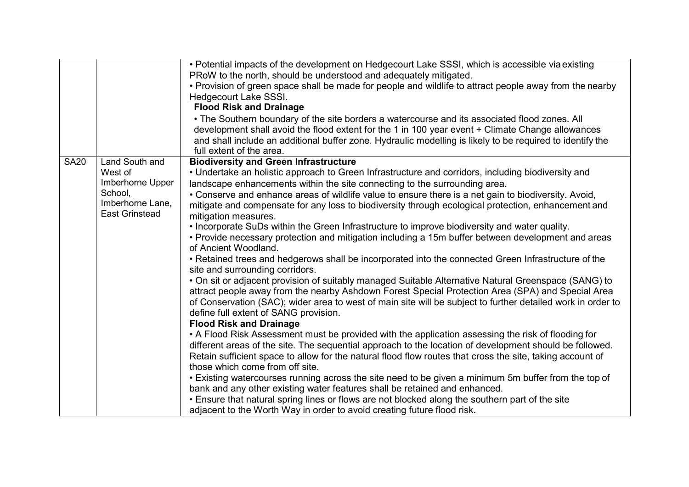|                                                                                                                      | • Potential impacts of the development on Hedgecourt Lake SSSI, which is accessible via existing<br>PRoW to the north, should be understood and adequately mitigated.<br>• Provision of green space shall be made for people and wildlife to attract people away from the nearby<br>Hedgecourt Lake SSSI.<br><b>Flood Risk and Drainage</b><br>• The Southern boundary of the site borders a watercourse and its associated flood zones. All<br>development shall avoid the flood extent for the 1 in 100 year event + Climate Change allowances<br>and shall include an additional buffer zone. Hydraulic modelling is likely to be required to identify the<br>full extent of the area.                                                                                                                                                                                                                                                                                                                                                                                                                                                                                                                                                                                                                                                                                                                                                                                                                                                                                                                                                                                                                                                                                                                                                                                                                                                                                                    |
|----------------------------------------------------------------------------------------------------------------------|----------------------------------------------------------------------------------------------------------------------------------------------------------------------------------------------------------------------------------------------------------------------------------------------------------------------------------------------------------------------------------------------------------------------------------------------------------------------------------------------------------------------------------------------------------------------------------------------------------------------------------------------------------------------------------------------------------------------------------------------------------------------------------------------------------------------------------------------------------------------------------------------------------------------------------------------------------------------------------------------------------------------------------------------------------------------------------------------------------------------------------------------------------------------------------------------------------------------------------------------------------------------------------------------------------------------------------------------------------------------------------------------------------------------------------------------------------------------------------------------------------------------------------------------------------------------------------------------------------------------------------------------------------------------------------------------------------------------------------------------------------------------------------------------------------------------------------------------------------------------------------------------------------------------------------------------------------------------------------------------|
| <b>SA20</b><br>Land South and<br>West of<br>Imberhorne Upper<br>School,<br>Imberhorne Lane,<br><b>East Grinstead</b> | <b>Biodiversity and Green Infrastructure</b><br>• Undertake an holistic approach to Green Infrastructure and corridors, including biodiversity and<br>landscape enhancements within the site connecting to the surrounding area.<br>• Conserve and enhance areas of wildlife value to ensure there is a net gain to biodiversity. Avoid,<br>mitigate and compensate for any loss to biodiversity through ecological protection, enhancement and<br>mitigation measures.<br>• Incorporate SuDs within the Green Infrastructure to improve biodiversity and water quality.<br>• Provide necessary protection and mitigation including a 15m buffer between development and areas<br>of Ancient Woodland.<br>• Retained trees and hedgerows shall be incorporated into the connected Green Infrastructure of the<br>site and surrounding corridors.<br>. On sit or adjacent provision of suitably managed Suitable Alternative Natural Greenspace (SANG) to<br>attract people away from the nearby Ashdown Forest Special Protection Area (SPA) and Special Area<br>of Conservation (SAC); wider area to west of main site will be subject to further detailed work in order to<br>define full extent of SANG provision.<br><b>Flood Risk and Drainage</b><br>• A Flood Risk Assessment must be provided with the application assessing the risk of flooding for<br>different areas of the site. The sequential approach to the location of development should be followed.<br>Retain sufficient space to allow for the natural flood flow routes that cross the site, taking account of<br>those which come from off site.<br>• Existing watercourses running across the site need to be given a minimum 5m buffer from the top of<br>bank and any other existing water features shall be retained and enhanced.<br>• Ensure that natural spring lines or flows are not blocked along the southern part of the site<br>adjacent to the Worth Way in order to avoid creating future flood risk. |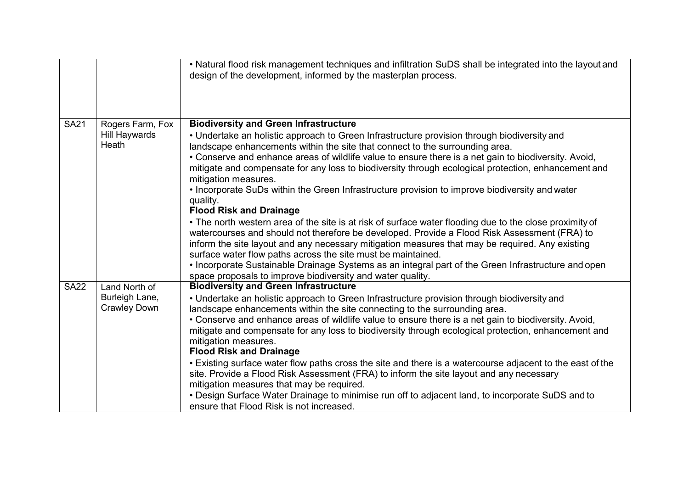|             |                                                   | • Natural flood risk management techniques and infiltration SuDS shall be integrated into the layout and<br>design of the development, informed by the masterplan process.                                                                                                                                 |
|-------------|---------------------------------------------------|------------------------------------------------------------------------------------------------------------------------------------------------------------------------------------------------------------------------------------------------------------------------------------------------------------|
| <b>SA21</b> | Rogers Farm, Fox<br><b>Hill Haywards</b><br>Heath | <b>Biodiversity and Green Infrastructure</b><br>• Undertake an holistic approach to Green Infrastructure provision through biodiversity and<br>landscape enhancements within the site that connect to the surrounding area.                                                                                |
|             |                                                   | • Conserve and enhance areas of wildlife value to ensure there is a net gain to biodiversity. Avoid,<br>mitigate and compensate for any loss to biodiversity through ecological protection, enhancement and<br>mitigation measures.                                                                        |
|             |                                                   | • Incorporate SuDs within the Green Infrastructure provision to improve biodiversity and water<br>quality.<br><b>Flood Risk and Drainage</b>                                                                                                                                                               |
|             |                                                   | • The north western area of the site is at risk of surface water flooding due to the close proximity of<br>watercourses and should not therefore be developed. Provide a Flood Risk Assessment (FRA) to<br>inform the site layout and any necessary mitigation measures that may be required. Any existing |
|             |                                                   | surface water flow paths across the site must be maintained.<br>• Incorporate Sustainable Drainage Systems as an integral part of the Green Infrastructure and open<br>space proposals to improve biodiversity and water quality.                                                                          |
| <b>SA22</b> | Land North of                                     | <b>Biodiversity and Green Infrastructure</b>                                                                                                                                                                                                                                                               |
|             | Burleigh Lane,                                    | • Undertake an holistic approach to Green Infrastructure provision through biodiversity and                                                                                                                                                                                                                |
|             | <b>Crawley Down</b>                               | landscape enhancements within the site connecting to the surrounding area.<br>• Conserve and enhance areas of wildlife value to ensure there is a net gain to biodiversity. Avoid,                                                                                                                         |
|             |                                                   | mitigate and compensate for any loss to biodiversity through ecological protection, enhancement and<br>mitigation measures.<br><b>Flood Risk and Drainage</b>                                                                                                                                              |
|             |                                                   | • Existing surface water flow paths cross the site and there is a watercourse adjacent to the east of the<br>site. Provide a Flood Risk Assessment (FRA) to inform the site layout and any necessary<br>mitigation measures that may be required.                                                          |
|             |                                                   | • Design Surface Water Drainage to minimise run off to adjacent land, to incorporate SuDS and to<br>ensure that Flood Risk is not increased.                                                                                                                                                               |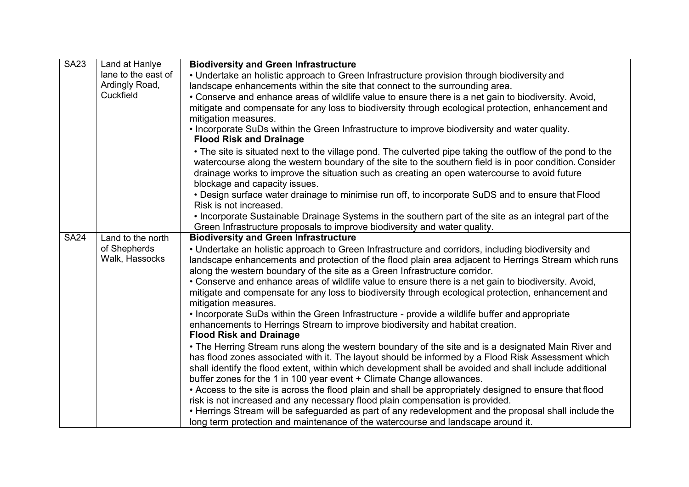| <b>SA23</b> | Land at Hanlye                                                    | <b>Biodiversity and Green Infrastructure</b>                                                              |
|-------------|-------------------------------------------------------------------|-----------------------------------------------------------------------------------------------------------|
|             | lane to the east of                                               | • Undertake an holistic approach to Green Infrastructure provision through biodiversity and               |
|             | Ardingly Road,                                                    | landscape enhancements within the site that connect to the surrounding area.                              |
|             | Cuckfield                                                         | • Conserve and enhance areas of wildlife value to ensure there is a net gain to biodiversity. Avoid,      |
|             |                                                                   | mitigate and compensate for any loss to biodiversity through ecological protection, enhancement and       |
|             |                                                                   | mitigation measures.                                                                                      |
|             |                                                                   | • Incorporate SuDs within the Green Infrastructure to improve biodiversity and water quality.             |
|             |                                                                   | <b>Flood Risk and Drainage</b>                                                                            |
|             |                                                                   | • The site is situated next to the village pond. The culverted pipe taking the outflow of the pond to the |
|             |                                                                   | watercourse along the western boundary of the site to the southern field is in poor condition. Consider   |
|             |                                                                   | drainage works to improve the situation such as creating an open watercourse to avoid future              |
|             |                                                                   | blockage and capacity issues.                                                                             |
|             |                                                                   | • Design surface water drainage to minimise run off, to incorporate SuDS and to ensure that Flood         |
|             |                                                                   | Risk is not increased.                                                                                    |
|             |                                                                   | . Incorporate Sustainable Drainage Systems in the southern part of the site as an integral part of the    |
|             |                                                                   | Green Infrastructure proposals to improve biodiversity and water quality.                                 |
| <b>SA24</b> | <b>Biodiversity and Green Infrastructure</b><br>Land to the north |                                                                                                           |
|             | of Shepherds                                                      | • Undertake an holistic approach to Green Infrastructure and corridors, including biodiversity and        |
|             | Walk, Hassocks                                                    | landscape enhancements and protection of the flood plain area adjacent to Herrings Stream which runs      |
|             |                                                                   | along the western boundary of the site as a Green Infrastructure corridor.                                |
|             |                                                                   | • Conserve and enhance areas of wildlife value to ensure there is a net gain to biodiversity. Avoid,      |
|             |                                                                   | mitigate and compensate for any loss to biodiversity through ecological protection, enhancement and       |
|             |                                                                   | mitigation measures.                                                                                      |
|             |                                                                   | • Incorporate SuDs within the Green Infrastructure - provide a wildlife buffer and appropriate            |
|             |                                                                   | enhancements to Herrings Stream to improve biodiversity and habitat creation.                             |
|             |                                                                   | <b>Flood Risk and Drainage</b>                                                                            |
|             |                                                                   | • The Herring Stream runs along the western boundary of the site and is a designated Main River and       |
|             |                                                                   | has flood zones associated with it. The layout should be informed by a Flood Risk Assessment which        |
|             |                                                                   | shall identify the flood extent, within which development shall be avoided and shall include additional   |
|             |                                                                   | buffer zones for the 1 in 100 year event + Climate Change allowances.                                     |
|             |                                                                   | • Access to the site is across the flood plain and shall be appropriately designed to ensure that flood   |
|             |                                                                   | risk is not increased and any necessary flood plain compensation is provided.                             |
|             |                                                                   | • Herrings Stream will be safeguarded as part of any redevelopment and the proposal shall include the     |
|             |                                                                   | long term protection and maintenance of the watercourse and landscape around it.                          |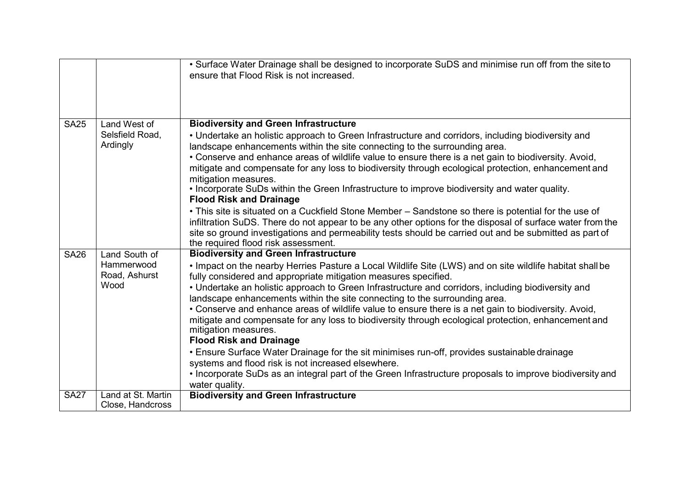|             |                             | • Surface Water Drainage shall be designed to incorporate SuDS and minimise run off from the site to<br>ensure that Flood Risk is not increased.                                                                                                           |
|-------------|-----------------------------|------------------------------------------------------------------------------------------------------------------------------------------------------------------------------------------------------------------------------------------------------------|
| <b>SA25</b> | Land West of                | <b>Biodiversity and Green Infrastructure</b>                                                                                                                                                                                                               |
|             | Selsfield Road,             | • Undertake an holistic approach to Green Infrastructure and corridors, including biodiversity and                                                                                                                                                         |
|             | Ardingly                    | landscape enhancements within the site connecting to the surrounding area.                                                                                                                                                                                 |
|             |                             | • Conserve and enhance areas of wildlife value to ensure there is a net gain to biodiversity. Avoid,                                                                                                                                                       |
|             |                             | mitigate and compensate for any loss to biodiversity through ecological protection, enhancement and<br>mitigation measures.                                                                                                                                |
|             |                             | . Incorporate SuDs within the Green Infrastructure to improve biodiversity and water quality.<br><b>Flood Risk and Drainage</b>                                                                                                                            |
|             |                             | • This site is situated on a Cuckfield Stone Member - Sandstone so there is potential for the use of                                                                                                                                                       |
|             |                             | infiltration SuDS. There do not appear to be any other options for the disposal of surface water from the<br>site so ground investigations and permeability tests should be carried out and be submitted as part of<br>the required flood risk assessment. |
| <b>SA26</b> | Land South of               | <b>Biodiversity and Green Infrastructure</b>                                                                                                                                                                                                               |
|             | Hammerwood<br>Road, Ashurst | . Impact on the nearby Herries Pasture a Local Wildlife Site (LWS) and on site wildlife habitat shall be<br>fully considered and appropriate mitigation measures specified.                                                                                |
|             | Wood                        | • Undertake an holistic approach to Green Infrastructure and corridors, including biodiversity and<br>landscape enhancements within the site connecting to the surrounding area.                                                                           |
|             |                             | • Conserve and enhance areas of wildlife value to ensure there is a net gain to biodiversity. Avoid,<br>mitigate and compensate for any loss to biodiversity through ecological protection, enhancement and<br>mitigation measures.                        |
|             |                             | <b>Flood Risk and Drainage</b>                                                                                                                                                                                                                             |
|             |                             | • Ensure Surface Water Drainage for the sit minimises run-off, provides sustainable drainage<br>systems and flood risk is not increased elsewhere.                                                                                                         |
|             |                             | • Incorporate SuDs as an integral part of the Green Infrastructure proposals to improve biodiversity and<br>water quality.                                                                                                                                 |
| <b>SA27</b> | Land at St. Martin          | <b>Biodiversity and Green Infrastructure</b>                                                                                                                                                                                                               |
|             | Close, Handcross            |                                                                                                                                                                                                                                                            |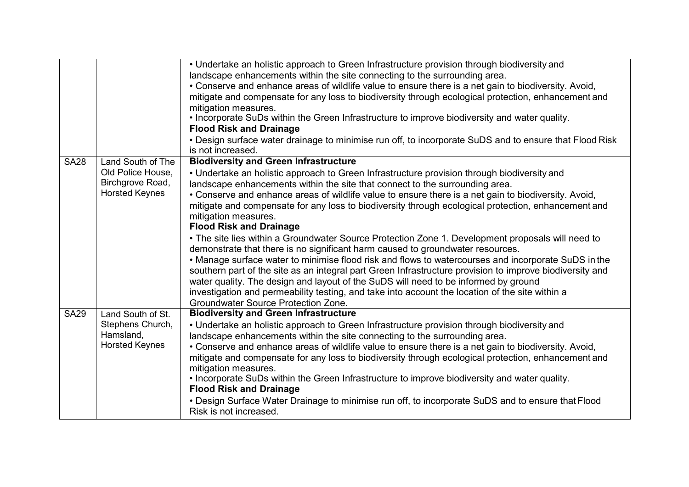|             |                                                                                     | • Undertake an holistic approach to Green Infrastructure provision through biodiversity and<br>landscape enhancements within the site connecting to the surrounding area.<br>• Conserve and enhance areas of wildlife value to ensure there is a net gain to biodiversity. Avoid,<br>mitigate and compensate for any loss to biodiversity through ecological protection, enhancement and<br>mitigation measures.<br>. Incorporate SuDs within the Green Infrastructure to improve biodiversity and water quality.<br><b>Flood Risk and Drainage</b><br>• Design surface water drainage to minimise run off, to incorporate SuDS and to ensure that Flood Risk<br>is not increased.                                                                                                                                                                                                                                                                                                                                                                                                                                                                     |
|-------------|-------------------------------------------------------------------------------------|--------------------------------------------------------------------------------------------------------------------------------------------------------------------------------------------------------------------------------------------------------------------------------------------------------------------------------------------------------------------------------------------------------------------------------------------------------------------------------------------------------------------------------------------------------------------------------------------------------------------------------------------------------------------------------------------------------------------------------------------------------------------------------------------------------------------------------------------------------------------------------------------------------------------------------------------------------------------------------------------------------------------------------------------------------------------------------------------------------------------------------------------------------|
| <b>SA28</b> | Land South of The<br>Old Police House,<br>Birchgrove Road,<br><b>Horsted Keynes</b> | <b>Biodiversity and Green Infrastructure</b><br>• Undertake an holistic approach to Green Infrastructure provision through biodiversity and<br>landscape enhancements within the site that connect to the surrounding area.<br>• Conserve and enhance areas of wildlife value to ensure there is a net gain to biodiversity. Avoid,<br>mitigate and compensate for any loss to biodiversity through ecological protection, enhancement and<br>mitigation measures.<br><b>Flood Risk and Drainage</b><br>• The site lies within a Groundwater Source Protection Zone 1. Development proposals will need to<br>demonstrate that there is no significant harm caused to groundwater resources.<br>• Manage surface water to minimise flood risk and flows to watercourses and incorporate SuDS in the<br>southern part of the site as an integral part Green Infrastructure provision to improve biodiversity and<br>water quality. The design and layout of the SuDS will need to be informed by ground<br>investigation and permeability testing, and take into account the location of the site within a<br><b>Groundwater Source Protection Zone.</b> |
| <b>SA29</b> | Land South of St.<br>Stephens Church,<br>Hamsland,<br><b>Horsted Keynes</b>         | <b>Biodiversity and Green Infrastructure</b><br>• Undertake an holistic approach to Green Infrastructure provision through biodiversity and<br>landscape enhancements within the site connecting to the surrounding area.<br>• Conserve and enhance areas of wildlife value to ensure there is a net gain to biodiversity. Avoid,<br>mitigate and compensate for any loss to biodiversity through ecological protection, enhancement and<br>mitigation measures.<br>. Incorporate SuDs within the Green Infrastructure to improve biodiversity and water quality.<br><b>Flood Risk and Drainage</b><br>• Design Surface Water Drainage to minimise run off, to incorporate SuDS and to ensure that Flood<br>Risk is not increased.                                                                                                                                                                                                                                                                                                                                                                                                                     |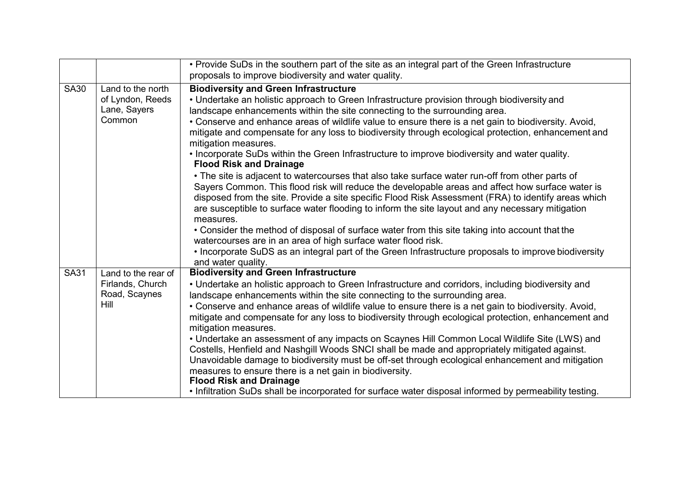|             |                                                                  | • Provide SuDs in the southern part of the site as an integral part of the Green Infrastructure<br>proposals to improve biodiversity and water quality.                                                                                                                                                                                                                                                                                                                                                                                                                                                                                                                                                                                                                                                                                                                                                                                                                                                                                                                                                                                                                                                                                                                                                                             |  |
|-------------|------------------------------------------------------------------|-------------------------------------------------------------------------------------------------------------------------------------------------------------------------------------------------------------------------------------------------------------------------------------------------------------------------------------------------------------------------------------------------------------------------------------------------------------------------------------------------------------------------------------------------------------------------------------------------------------------------------------------------------------------------------------------------------------------------------------------------------------------------------------------------------------------------------------------------------------------------------------------------------------------------------------------------------------------------------------------------------------------------------------------------------------------------------------------------------------------------------------------------------------------------------------------------------------------------------------------------------------------------------------------------------------------------------------|--|
| <b>SA30</b> | Land to the north<br>of Lyndon, Reeds<br>Lane, Sayers<br>Common  | <b>Biodiversity and Green Infrastructure</b><br>• Undertake an holistic approach to Green Infrastructure provision through biodiversity and<br>landscape enhancements within the site connecting to the surrounding area.<br>• Conserve and enhance areas of wildlife value to ensure there is a net gain to biodiversity. Avoid,<br>mitigate and compensate for any loss to biodiversity through ecological protection, enhancement and<br>mitigation measures.<br>• Incorporate SuDs within the Green Infrastructure to improve biodiversity and water quality.<br><b>Flood Risk and Drainage</b><br>• The site is adjacent to watercourses that also take surface water run-off from other parts of<br>Sayers Common. This flood risk will reduce the developable areas and affect how surface water is<br>disposed from the site. Provide a site specific Flood Risk Assessment (FRA) to identify areas which<br>are susceptible to surface water flooding to inform the site layout and any necessary mitigation<br>measures.<br>• Consider the method of disposal of surface water from this site taking into account that the<br>watercourses are in an area of high surface water flood risk.<br>• Incorporate SuDS as an integral part of the Green Infrastructure proposals to improve biodiversity<br>and water quality. |  |
| <b>SA31</b> | Land to the rear of<br>Firlands, Church<br>Road, Scaynes<br>Hill | <b>Biodiversity and Green Infrastructure</b><br>• Undertake an holistic approach to Green Infrastructure and corridors, including biodiversity and<br>landscape enhancements within the site connecting to the surrounding area.<br>• Conserve and enhance areas of wildlife value to ensure there is a net gain to biodiversity. Avoid,<br>mitigate and compensate for any loss to biodiversity through ecological protection, enhancement and<br>mitigation measures.<br>• Undertake an assessment of any impacts on Scaynes Hill Common Local Wildlife Site (LWS) and<br>Costells, Henfield and Nashgill Woods SNCI shall be made and appropriately mitigated against.<br>Unavoidable damage to biodiversity must be off-set through ecological enhancement and mitigation<br>measures to ensure there is a net gain in biodiversity.<br><b>Flood Risk and Drainage</b><br>. Infiltration SuDs shall be incorporated for surface water disposal informed by permeability testing.                                                                                                                                                                                                                                                                                                                                                |  |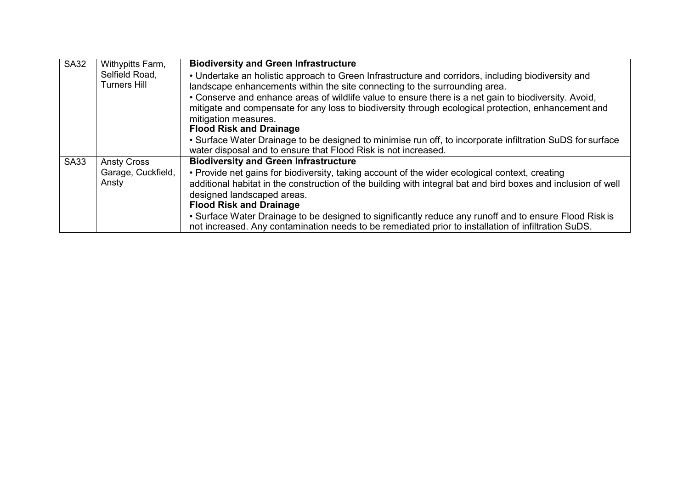| <b>SA32</b> | Withypitts Farm,                      | <b>Biodiversity and Green Infrastructure</b>                                                                                                                                                                                                                                                                                                                                                                            |
|-------------|---------------------------------------|-------------------------------------------------------------------------------------------------------------------------------------------------------------------------------------------------------------------------------------------------------------------------------------------------------------------------------------------------------------------------------------------------------------------------|
|             | Selfield Road,<br><b>Turners Hill</b> | • Undertake an holistic approach to Green Infrastructure and corridors, including biodiversity and<br>landscape enhancements within the site connecting to the surrounding area.<br>• Conserve and enhance areas of wildlife value to ensure there is a net gain to biodiversity. Avoid,<br>mitigate and compensate for any loss to biodiversity through ecological protection, enhancement and<br>mitigation measures. |
|             |                                       | <b>Flood Risk and Drainage</b>                                                                                                                                                                                                                                                                                                                                                                                          |
|             |                                       | • Surface Water Drainage to be designed to minimise run off, to incorporate infiltration SuDS for surface<br>water disposal and to ensure that Flood Risk is not increased.                                                                                                                                                                                                                                             |
| <b>SA33</b> | <b>Ansty Cross</b>                    | <b>Biodiversity and Green Infrastructure</b>                                                                                                                                                                                                                                                                                                                                                                            |
|             | Garage, Cuckfield,<br>Ansty           | • Provide net gains for biodiversity, taking account of the wider ecological context, creating                                                                                                                                                                                                                                                                                                                          |
|             |                                       | additional habitat in the construction of the building with integral bat and bird boxes and inclusion of well<br>designed landscaped areas.                                                                                                                                                                                                                                                                             |
|             |                                       | <b>Flood Risk and Drainage</b>                                                                                                                                                                                                                                                                                                                                                                                          |
|             |                                       | • Surface Water Drainage to be designed to significantly reduce any runoff and to ensure Flood Risk is<br>not increased. Any contamination needs to be remediated prior to installation of infiltration SuDS.                                                                                                                                                                                                           |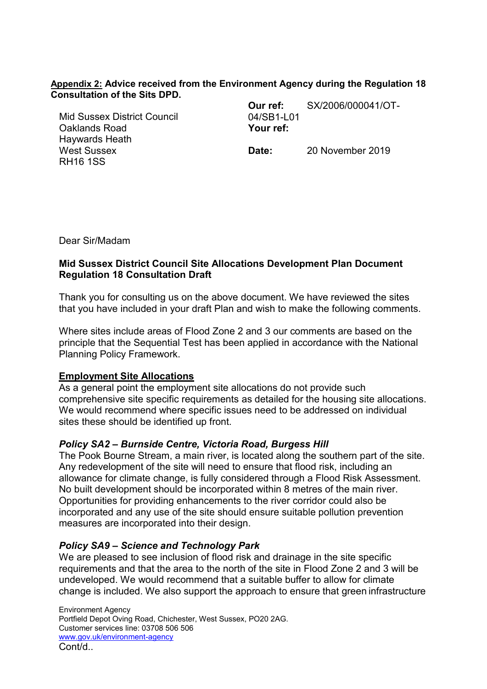### **Appendix 2: Advice received from the Environment Agency during the Regulation 18 Consultation of the Sits DPD.**

Mid Sussex District Council Oaklands Road Haywards Heath West Sussex RH16 1SS

**Our ref:** SX/2006/000041/OT-04/SB1-L01 **Your ref:**

**Date:** 20 November 2019

Dear Sir/Madam

## **Mid Sussex District Council Site Allocations Development Plan Document Regulation 18 Consultation Draft**

Thank you for consulting us on the above document. We have reviewed the sites that you have included in your draft Plan and wish to make the following comments.

Where sites include areas of Flood Zone 2 and 3 our comments are based on the principle that the Sequential Test has been applied in accordance with the National Planning Policy Framework.

### **Employment Site Allocations**

As a general point the employment site allocations do not provide such comprehensive site specific requirements as detailed for the housing site allocations. We would recommend where specific issues need to be addressed on individual sites these should be identified up front.

### *Policy SA2 – Burnside Centre, Victoria Road, Burgess Hill*

The Pook Bourne Stream, a main river, is located along the southern part of the site. Any redevelopment of the site will need to ensure that flood risk, including an allowance for climate change, is fully considered through a Flood Risk Assessment. No built development should be incorporated within 8 metres of the main river. Opportunities for providing enhancements to the river corridor could also be incorporated and any use of the site should ensure suitable pollution prevention measures are incorporated into their design.

### *Policy SA9 – Science and Technology Park*

We are pleased to see inclusion of flood risk and drainage in the site specific requirements and that the area to the north of the site in Flood Zone 2 and 3 will be undeveloped. We would recommend that a suitable buffer to allow for climate change is included. We also support the approach to ensure that green infrastructure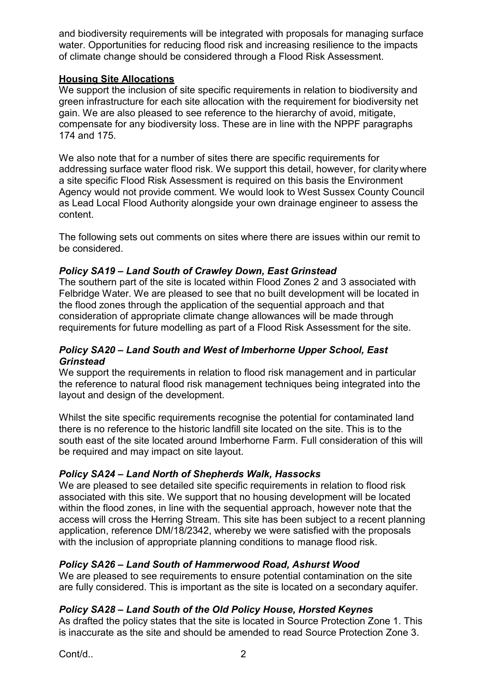and biodiversity requirements will be integrated with proposals for managing surface water. Opportunities for reducing flood risk and increasing resilience to the impacts of climate change should be considered through a Flood Risk Assessment.

# **Housing Site Allocations**

We support the inclusion of site specific requirements in relation to biodiversity and green infrastructure for each site allocation with the requirement for biodiversity net gain. We are also pleased to see reference to the hierarchy of avoid, mitigate, compensate for any biodiversity loss. These are in line with the NPPF paragraphs 174 and 175.

We also note that for a number of sites there are specific requirements for addressing surface water flood risk. We support this detail, however, for clarity where a site specific Flood Risk Assessment is required on this basis the Environment Agency would not provide comment. We would look to West Sussex County Council as Lead Local Flood Authority alongside your own drainage engineer to assess the content.

The following sets out comments on sites where there are issues within our remit to be considered.

## *Policy SA19 – Land South of Crawley Down, East Grinstead*

The southern part of the site is located within Flood Zones 2 and 3 associated with Felbridge Water. We are pleased to see that no built development will be located in the flood zones through the application of the sequential approach and that consideration of appropriate climate change allowances will be made through requirements for future modelling as part of a Flood Risk Assessment for the site.

## *Policy SA20 – Land South and West of Imberhorne Upper School, East Grinstead*

We support the requirements in relation to flood risk management and in particular the reference to natural flood risk management techniques being integrated into the layout and design of the development.

Whilst the site specific requirements recognise the potential for contaminated land there is no reference to the historic landfill site located on the site. This is to the south east of the site located around Imberhorne Farm. Full consideration of this will be required and may impact on site layout.

# *Policy SA24 – Land North of Shepherds Walk, Hassocks*

We are pleased to see detailed site specific requirements in relation to flood risk associated with this site. We support that no housing development will be located within the flood zones, in line with the sequential approach, however note that the access will cross the Herring Stream. This site has been subject to a recent planning application, reference DM/18/2342, whereby we were satisfied with the proposals with the inclusion of appropriate planning conditions to manage flood risk.

# *Policy SA26 – Land South of Hammerwood Road, Ashurst Wood*

We are pleased to see requirements to ensure potential contamination on the site are fully considered. This is important as the site is located on a secondary aquifer.

# *Policy SA28 – Land South of the Old Policy House, Horsted Keynes*

As drafted the policy states that the site is located in Source Protection Zone 1. This is inaccurate as the site and should be amended to read Source Protection Zone 3.

Cont/d.. 2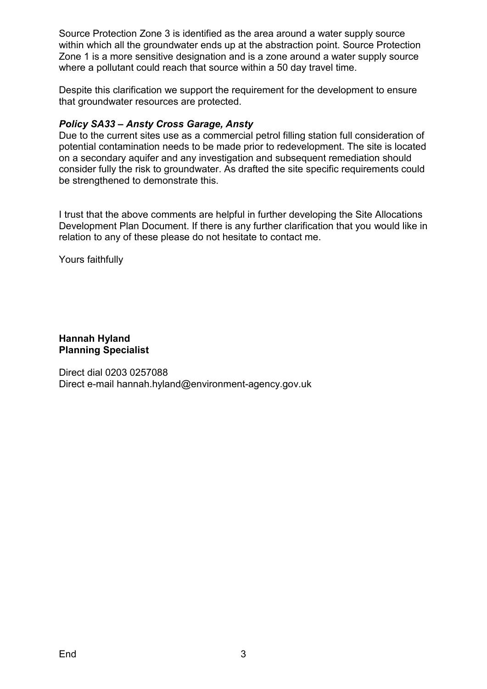Source Protection Zone 3 is identified as the area around a water supply source within which all the groundwater ends up at the abstraction point. Source Protection Zone 1 is a more sensitive designation and is a zone around a water supply source where a pollutant could reach that source within a 50 day travel time.

Despite this clarification we support the requirement for the development to ensure that groundwater resources are protected.

## *Policy SA33 – Ansty Cross Garage, Ansty*

Due to the current sites use as a commercial petrol filling station full consideration of potential contamination needs to be made prior to redevelopment. The site is located on a secondary aquifer and any investigation and subsequent remediation should consider fully the risk to groundwater. As drafted the site specific requirements could be strengthened to demonstrate this.

I trust that the above comments are helpful in further developing the Site Allocations Development Plan Document. If there is any further clarification that you would like in relation to any of these please do not hesitate to contact me.

Yours faithfully

**Hannah Hyland Planning Specialist**

Direct dial 0203 0257088 Direct e-mail [hannah.hyland@environment-agency.gov.uk](mailto:hannah.hyland@environment-agency.gov.uk)